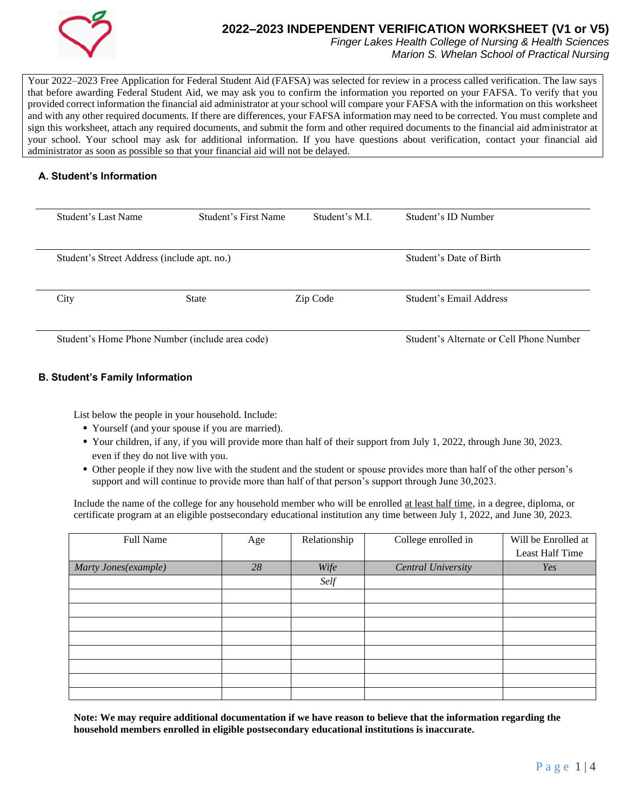

# **2022–2023 INDEPENDENT VERIFICATION WORKSHEET (V1 or V5)**

*Finger Lakes Health College of Nursing & Health Sciences Marion S. Whelan School of Practical Nursing*

Your 2022–2023 Free Application for Federal Student Aid (FAFSA) was selected for review in a process called verification. The law says that before awarding Federal Student Aid, we may ask you to confirm the information you reported on your FAFSA. To verify that you provided correct information the financial aid administrator at your school will compare your FAFSA with the information on this worksheet and with any other required documents. If there are differences, your FAFSA information may need to be corrected. You must complete and sign this worksheet, attach any required documents, and submit the form and other required documents to the financial aid administrator at your school. Your school may ask for additional information. If you have questions about verification, contact your financial aid administrator as soon as possible so that your financial aid will not be delayed.

### **A. Student's Information**

| Student's Last Name                         | Student's First Name                            | Student's M.I.                           | Student's ID Number     |
|---------------------------------------------|-------------------------------------------------|------------------------------------------|-------------------------|
| Student's Street Address (include apt. no.) |                                                 | Student's Date of Birth                  |                         |
| City                                        | <b>State</b>                                    | Zip Code                                 | Student's Email Address |
|                                             | Student's Home Phone Number (include area code) | Student's Alternate or Cell Phone Number |                         |

## **B. Student's Family Information**

List below the people in your household. Include:

- Yourself (and your spouse if you are married).
- Your children, if any, if you will provide more than half of their support from July 1, 2022, through June 30, 2023. even if they do not live with you.
- Other people if they now live with the student and the student or spouse provides more than half of the other person's support and will continue to provide more than half of that person's support through June 30,2023.

Include the name of the college for any household member who will be enrolled at least half time, in a degree, diploma, or certificate program at an eligible postsecondary educational institution any time between July 1, 2022, and June 30, 2023.

| Full Name            | Age | Relationship | College enrolled in       | Will be Enrolled at |
|----------------------|-----|--------------|---------------------------|---------------------|
|                      |     |              |                           | Least Half Time     |
| Marty Jones(example) | 28  | Wife         | <b>Central University</b> | Yes                 |
|                      |     | Self         |                           |                     |
|                      |     |              |                           |                     |
|                      |     |              |                           |                     |
|                      |     |              |                           |                     |
|                      |     |              |                           |                     |
|                      |     |              |                           |                     |
|                      |     |              |                           |                     |
|                      |     |              |                           |                     |
|                      |     |              |                           |                     |

**Note: We may require additional documentation if we have reason to believe that the information regarding the household members enrolled in eligible postsecondary educational institutions is inaccurate.**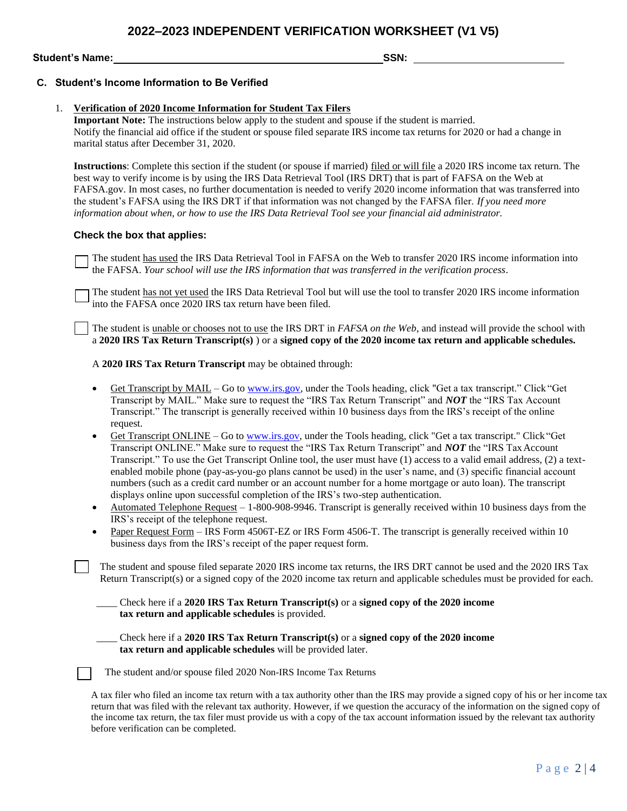## **2022–2023 INDEPENDENT VERIFICATION WORKSHEET (V1 V5)**

**Student's Name: SSN:** 

#### **C. Student's Income Information to Be Verified**

#### 1. **Verification of 2020 Income Information for Student Tax Filers**

**Important Note:** The instructions below apply to the student and spouse if the student is married. Notify the financial aid office if the student or spouse filed separate IRS income tax returns for 2020 or had a change in marital status after December 31, 2020.

**Instructions**: Complete this section if the student (or spouse if married) filed or will file a 2020 IRS income tax return. The best way to verify income is by using the IRS Data Retrieval Tool (IRS DRT) that is part of FAFSA on the Web at FAFSA.gov. In most cases, no further documentation is needed to verify 2020 income information that was transferred into the student's FAFSA using the IRS DRT if that information was not changed by the FAFSA filer. *If you need more information about when, or how to use the IRS Data Retrieval Tool see your financial aid administrator.*

#### **Check the box that applies:**

The student has used the IRS Data Retrieval Tool in FAFSA on the Web to transfer 2020 IRS income information into the FAFSA. *Your school will use the IRS information that was transferred in the verification process*.

The student has not yet used the IRS Data Retrieval Tool but will use the tool to transfer 2020 IRS income information into the FAFSA once 2020 IRS tax return have been filed.

The student is unable or chooses not to use the IRS DRT in *FAFSA on the Web*, and instead will provide the school with a **2020 IRS Tax Return Transcript(s)** ) or a **signed copy of the 2020 income tax return and applicable schedules.**

A **2020 IRS Tax Return Transcript** may be obtained through:

- Get Transcript by MAIL Go to [www.irs.gov, u](http://www.irs.gov/)nder the Tools heading, click "Get a tax transcript." Click "Get Transcript by MAIL." Make sure to request the "IRS Tax Return Transcript" and *NOT* the "IRS Tax Account Transcript." The transcript is generally received within 10 business days from the IRS's receipt of the online request.
- Get Transcript ONLINE Go to [www.irs.gov, u](http://www.irs.gov/)nder the Tools heading, click "Get a tax transcript." Click"Get Transcript ONLINE." Make sure to request the "IRS Tax Return Transcript" and *NOT* the "IRS TaxAccount Transcript." To use the Get Transcript Online tool, the user must have (1) access to a valid email address, (2) a textenabled mobile phone (pay-as-you-go plans cannot be used) in the user's name, and (3) specific financial account numbers (such as a credit card number or an account number for a home mortgage or auto loan). The transcript displays online upon successful completion of the IRS's two-step authentication.
- Automated Telephone Request 1-800-908-9946. Transcript is generally received within 10 business days from the IRS's receipt of the telephone request.
- Paper Request Form IRS Form 4506T-EZ or IRS Form 4506-T. The transcript is generally received within 10 business days from the IRS's receipt of the paper request form.

The student and spouse filed separate 2020 IRS income tax returns, the IRS DRT cannot be used and the 2020 IRS Tax Return Transcript(s) or a signed copy of the 2020 income tax return and applicable schedules must be provided for each.

\_\_\_\_ Check here if a **2020 IRS Tax Return Transcript(s)** or a **signed copy of the 2020 income tax return and applicable schedules** is provided.

\_\_\_\_ Check here if a **2020 IRS Tax Return Transcript(s)** or a **signed copy of the 2020 income tax return and applicable schedules** will be provided later.

The student and/or spouse filed 2020 Non-IRS Income Tax Returns

A tax filer who filed an income tax return with a tax authority other than the IRS may provide a signed copy of his or her income tax return that was filed with the relevant tax authority. However, if we question the accuracy of the information on the signed copy of the income tax return, the tax filer must provide us with a copy of the tax account information issued by the relevant tax authority before verification can be completed.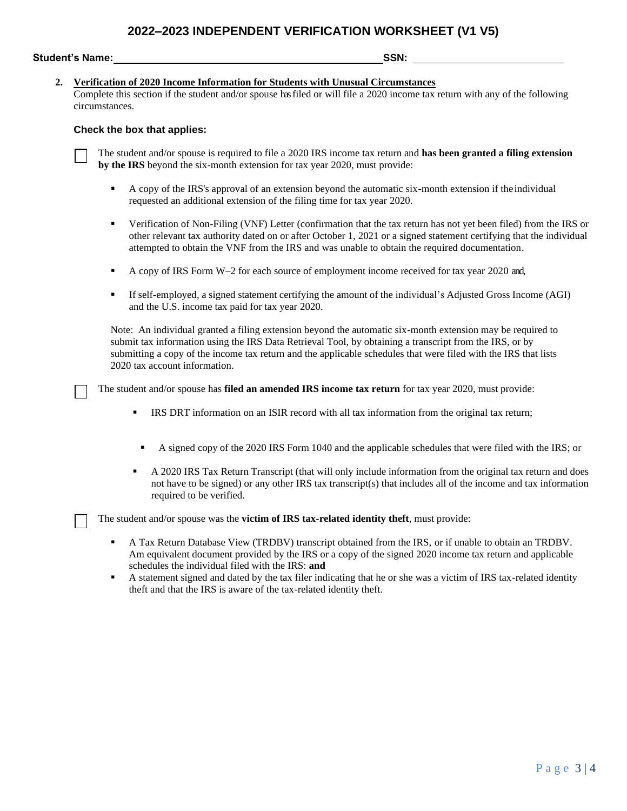**Student's Name: SSN:** 

### **2. Verification of 2020 Income Information for Students with Unusual Circumstances**

Complete this section if the student and/or spouse hasfiled or will file a 2020 income tax return with any of the following circumstances.

#### **Check the box that applies:**

The student and/or spouse is required to file a 2020 IRS income tax return and **has been granted a filing extension by the IRS** beyond the six-month extension for tax year 2020, must provide:

- A copy of the IRS's approval of an extension beyond the automatic six-month extension if the individual requested an additional extension of the filing time for tax year 2020.
- Verification of Non-Filing (VNF) Letter (confirmation that the tax return has not yet been filed) from the IRS or other relevant tax authority dated on or after October 1, 2021 or a signed statement certifying that the individual attempted to obtain the VNF from the IRS and was unable to obtain the required documentation.
- A copy of IRS Form W–2 for each source of employment income received for tax year 2020 and,
- If self-employed, a signed statement certifying the amount of the individual's Adjusted Gross Income (AGI) and the U.S. income tax paid for tax year 2020.

Note: An individual granted a filing extension beyond the automatic six-month extension may be required to submit tax information using the IRS Data Retrieval Tool, by obtaining a transcript from the IRS, or by submitting a copy of the income tax return and the applicable schedules that were filed with the IRS that lists 2020 tax account information.

The student and/or spouse has **filed an amended IRS income tax return** for tax year 2020, must provide:

- **IRS DRT** information on an ISIR record with all tax information from the original tax return;
	- A signed copy of the 2020 IRS Form 1040 and the applicable schedules that were filed with the IRS; or
- A 2020 IRS Tax Return Transcript (that will only include information from the original tax return and does not have to be signed) or any other IRS tax transcript(s) that includes all of the income and tax information required to be verified.

The student and/or spouse was the **victim of IRS tax-related identity theft**, must provide:

- A Tax Return Database View (TRDBV) transcript obtained from the IRS, or if unable to obtain an TRDBV. Am equivalent document provided by the IRS or a copy of the signed 2020 income tax return and applicable schedules the individual filed with the IRS: **and**
- A statement signed and dated by the tax filer indicating that he or she was a victim of IRS tax-related identity theft and that the IRS is aware of the tax-related identity theft.